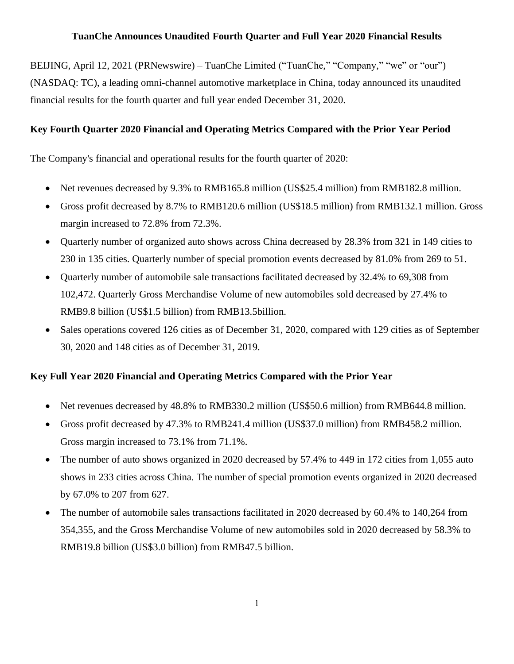# **TuanChe Announces Unaudited Fourth Quarter and Full Year 2020 Financial Results**

BEIJING, April 12, 2021 (PRNewswire) – TuanChe Limited ("TuanChe," "Company," "we" or "our") (NASDAQ: TC), a leading omni-channel automotive marketplace in China, today announced its unaudited financial results for the fourth quarter and full year ended December 31, 2020.

# **Key Fourth Quarter 2020 Financial and Operating Metrics Compared with the Prior Year Period**

The Company's financial and operational results for the fourth quarter of 2020:

- Net revenues decreased by 9.3% to RMB165.8 million (US\$25.4 million) from RMB182.8 million.
- Gross profit decreased by 8.7% to RMB120.6 million (US\$18.5 million) from RMB132.1 million. Gross margin increased to 72.8% from 72.3%.
- Ouarterly number of organized auto shows across China decreased by 28.3% from 321 in 149 cities to 230 in 135 cities. Quarterly number of special promotion events decreased by 81.0% from 269 to 51.
- Quarterly number of automobile sale transactions facilitated decreased by 32.4% to 69,308 from 102,472. Quarterly Gross Merchandise Volume of new automobiles sold decreased by 27.4% to RMB9.8 billion (US\$1.5 billion) from RMB13.5billion.
- Sales operations covered 126 cities as of December 31, 2020, compared with 129 cities as of September 30, 2020 and 148 cities as of December 31, 2019.

# **Key Full Year 2020 Financial and Operating Metrics Compared with the Prior Year**

- Net revenues decreased by 48.8% to RMB330.2 million (US\$50.6 million) from RMB644.8 million.
- Gross profit decreased by 47.3% to RMB241.4 million (US\$37.0 million) from RMB458.2 million. Gross margin increased to 73.1% from 71.1%.
- The number of auto shows organized in 2020 decreased by 57.4% to 449 in 172 cities from 1,055 auto shows in 233 cities across China. The number of special promotion events organized in 2020 decreased by 67.0% to 207 from 627.
- The number of automobile sales transactions facilitated in 2020 decreased by 60.4% to 140,264 from 354,355, and the Gross Merchandise Volume of new automobiles sold in 2020 decreased by 58.3% to RMB19.8 billion (US\$3.0 billion) from RMB47.5 billion.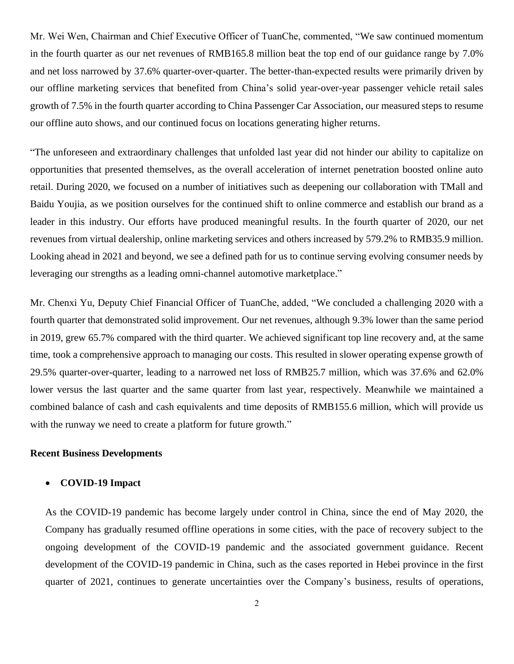Mr. Wei Wen, Chairman and Chief Executive Officer of TuanChe, commented, "We saw continued momentum in the fourth quarter as our net revenues of RMB165.8 million beat the top end of our guidance range by 7.0% and net loss narrowed by 37.6% quarter-over-quarter. The better-than-expected results were primarily driven by our offline marketing services that benefited from China's solid year-over-year passenger vehicle retail sales growth of 7.5% in the fourth quarter according to China Passenger Car Association, our measured steps to resume our offline auto shows, and our continued focus on locations generating higher returns.

"The unforeseen and extraordinary challenges that unfolded last year did not hinder our ability to capitalize on opportunities that presented themselves, as the overall acceleration of internet penetration boosted online auto retail. During 2020, we focused on a number of initiatives such as deepening our collaboration with TMall and Baidu Youjia, as we position ourselves for the continued shift to online commerce and establish our brand as a leader in this industry. Our efforts have produced meaningful results. In the fourth quarter of 2020, our net revenues from virtual dealership, online marketing services and others increased by 579.2% to RMB35.9 million. Looking ahead in 2021 and beyond, we see a defined path for us to continue serving evolving consumer needs by leveraging our strengths as a leading omni-channel automotive marketplace."

Mr. Chenxi Yu, Deputy Chief Financial Officer of TuanChe, added, "We concluded a challenging 2020 with a fourth quarter that demonstrated solid improvement. Our net revenues, although 9.3% lower than the same period in 2019, grew 65.7% compared with the third quarter. We achieved significant top line recovery and, at the same time, took a comprehensive approach to managing our costs. This resulted in slower operating expense growth of 29.5% quarter-over-quarter, leading to a narrowed net loss of RMB25.7 million, which was 37.6% and 62.0% lower versus the last quarter and the same quarter from last year, respectively. Meanwhile we maintained a combined balance of cash and cash equivalents and time deposits of RMB155.6 million, which will provide us with the runway we need to create a platform for future growth."

#### **Recent Business Developments**

#### • **COVID-19 Impact**

As the COVID-19 pandemic has become largely under control in China, since the end of May 2020, the Company has gradually resumed offline operations in some cities, with the pace of recovery subject to the ongoing development of the COVID-19 pandemic and the associated government guidance. Recent development of the COVID-19 pandemic in China, such as the cases reported in Hebei province in the first quarter of 2021, continues to generate uncertainties over the Company's business, results of operations,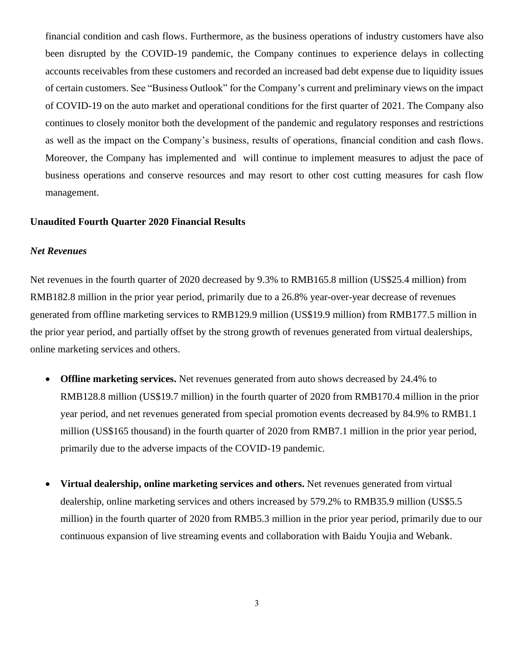financial condition and cash flows. Furthermore, as the business operations of industry customers have also been disrupted by the COVID-19 pandemic, the Company continues to experience delays in collecting accounts receivables from these customers and recorded an increased bad debt expense due to liquidity issues of certain customers. See "Business Outlook" for the Company's current and preliminary views on the impact of COVID-19 on the auto market and operational conditions for the first quarter of 2021. The Company also continues to closely monitor both the development of the pandemic and regulatory responses and restrictions as well as the impact on the Company's business, results of operations, financial condition and cash flows. Moreover, the Company has implemented and will continue to implement measures to adjust the pace of business operations and conserve resources and may resort to other cost cutting measures for cash flow management.

## **Unaudited Fourth Quarter 2020 Financial Results**

### *Net Revenues*

Net revenues in the fourth quarter of 2020 decreased by 9.3% to RMB165.8 million (US\$25.4 million) from RMB182.8 million in the prior year period, primarily due to a 26.8% year-over-year decrease of revenues generated from offline marketing services to RMB129.9 million (US\$19.9 million) from RMB177.5 million in the prior year period, and partially offset by the strong growth of revenues generated from virtual dealerships, online marketing services and others.

- **Offline marketing services.** Net revenues generated from auto shows decreased by 24.4% to RMB128.8 million (US\$19.7 million) in the fourth quarter of 2020 from RMB170.4 million in the prior year period, and net revenues generated from special promotion events decreased by 84.9% to RMB1.1 million (US\$165 thousand) in the fourth quarter of 2020 from RMB7.1 million in the prior year period, primarily due to the adverse impacts of the COVID-19 pandemic.
- **Virtual dealership, online marketing services and others.** Net revenues generated from virtual dealership, online marketing services and others increased by 579.2% to RMB35.9 million (US\$5.5 million) in the fourth quarter of 2020 from RMB5.3 million in the prior year period, primarily due to our continuous expansion of live streaming events and collaboration with Baidu Youjia and Webank.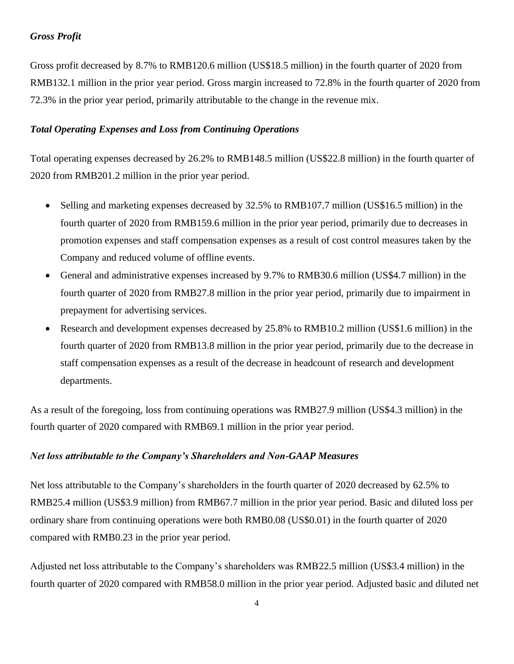# *Gross Profit*

Gross profit decreased by 8.7% to RMB120.6 million (US\$18.5 million) in the fourth quarter of 2020 from RMB132.1 million in the prior year period. Gross margin increased to 72.8% in the fourth quarter of 2020 from 72.3% in the prior year period, primarily attributable to the change in the revenue mix.

# *Total Operating Expenses and Loss from Continuing Operations*

Total operating expenses decreased by 26.2% to RMB148.5 million (US\$22.8 million) in the fourth quarter of 2020 from RMB201.2 million in the prior year period.

- Selling and marketing expenses decreased by 32.5% to RMB107.7 million (US\$16.5 million) in the fourth quarter of 2020 from RMB159.6 million in the prior year period, primarily due to decreases in promotion expenses and staff compensation expenses as a result of cost control measures taken by the Company and reduced volume of offline events.
- General and administrative expenses increased by 9.7% to RMB30.6 million (US\$4.7 million) in the fourth quarter of 2020 from RMB27.8 million in the prior year period, primarily due to impairment in prepayment for advertising services.
- Research and development expenses decreased by 25.8% to RMB10.2 million (US\$1.6 million) in the fourth quarter of 2020 from RMB13.8 million in the prior year period, primarily due to the decrease in staff compensation expenses as a result of the decrease in headcount of research and development departments.

As a result of the foregoing, loss from continuing operations was RMB27.9 million (US\$4.3 million) in the fourth quarter of 2020 compared with RMB69.1 million in the prior year period.

## *Net loss attributable to the Company's Shareholders and Non-GAAP Measures*

Net loss attributable to the Company's shareholders in the fourth quarter of 2020 decreased by 62.5% to RMB25.4 million (US\$3.9 million) from RMB67.7 million in the prior year period. Basic and diluted loss per ordinary share from continuing operations were both RMB0.08 (US\$0.01) in the fourth quarter of 2020 compared with RMB0.23 in the prior year period.

Adjusted net loss attributable to the Company's shareholders was RMB22.5 million (US\$3.4 million) in the fourth quarter of 2020 compared with RMB58.0 million in the prior year period. Adjusted basic and diluted net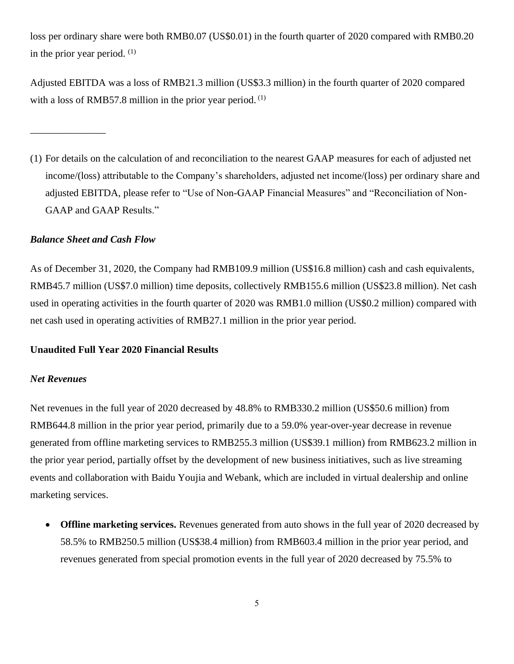loss per ordinary share were both RMB0.07 (US\$0.01) in the fourth quarter of 2020 compared with RMB0.20 in the prior year period. (1)

Adjusted EBITDA was a loss of RMB21.3 million (US\$3.3 million) in the fourth quarter of 2020 compared with a loss of RMB57.8 million in the prior year period.  $(1)$ 

(1) For details on the calculation of and reconciliation to the nearest GAAP measures for each of adjusted net income/(loss) attributable to the Company's shareholders, adjusted net income/(loss) per ordinary share and adjusted EBITDA, please refer to "Use of Non-GAAP Financial Measures" and "Reconciliation of Non-GAAP and GAAP Results."

#### *Balance Sheet and Cash Flow*

\_\_\_\_\_\_\_\_\_\_\_\_\_\_\_

As of December 31, 2020, the Company had RMB109.9 million (US\$16.8 million) cash and cash equivalents, RMB45.7 million (US\$7.0 million) time deposits, collectively RMB155.6 million (US\$23.8 million). Net cash used in operating activities in the fourth quarter of 2020 was RMB1.0 million (US\$0.2 million) compared with net cash used in operating activities of RMB27.1 million in the prior year period.

#### **Unaudited Full Year 2020 Financial Results**

#### *Net Revenues*

Net revenues in the full year of 2020 decreased by 48.8% to RMB330.2 million (US\$50.6 million) from RMB644.8 million in the prior year period, primarily due to a 59.0% year-over-year decrease in revenue generated from offline marketing services to RMB255.3 million (US\$39.1 million) from RMB623.2 million in the prior year period, partially offset by the development of new business initiatives, such as live streaming events and collaboration with Baidu Youjia and Webank, which are included in virtual dealership and online marketing services.

• **Offline marketing services.** Revenues generated from auto shows in the full year of 2020 decreased by 58.5% to RMB250.5 million (US\$38.4 million) from RMB603.4 million in the prior year period, and revenues generated from special promotion events in the full year of 2020 decreased by 75.5% to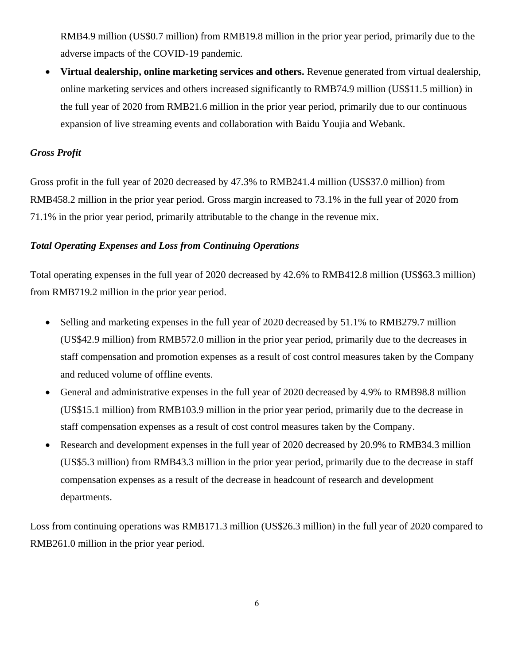RMB4.9 million (US\$0.7 million) from RMB19.8 million in the prior year period, primarily due to the adverse impacts of the COVID-19 pandemic.

• **Virtual dealership, online marketing services and others.** Revenue generated from virtual dealership, online marketing services and others increased significantly to RMB74.9 million (US\$11.5 million) in the full year of 2020 from RMB21.6 million in the prior year period, primarily due to our continuous expansion of live streaming events and collaboration with Baidu Youjia and Webank.

# *Gross Profit*

Gross profit in the full year of 2020 decreased by 47.3% to RMB241.4 million (US\$37.0 million) from RMB458.2 million in the prior year period. Gross margin increased to 73.1% in the full year of 2020 from 71.1% in the prior year period, primarily attributable to the change in the revenue mix.

# *Total Operating Expenses and Loss from Continuing Operations*

Total operating expenses in the full year of 2020 decreased by 42.6% to RMB412.8 million (US\$63.3 million) from RMB719.2 million in the prior year period.

- Selling and marketing expenses in the full year of 2020 decreased by 51.1% to RMB279.7 million (US\$42.9 million) from RMB572.0 million in the prior year period, primarily due to the decreases in staff compensation and promotion expenses as a result of cost control measures taken by the Company and reduced volume of offline events.
- General and administrative expenses in the full year of 2020 decreased by 4.9% to RMB98.8 million (US\$15.1 million) from RMB103.9 million in the prior year period, primarily due to the decrease in staff compensation expenses as a result of cost control measures taken by the Company.
- Research and development expenses in the full year of 2020 decreased by 20.9% to RMB34.3 million (US\$5.3 million) from RMB43.3 million in the prior year period, primarily due to the decrease in staff compensation expenses as a result of the decrease in headcount of research and development departments.

Loss from continuing operations was RMB171.3 million (US\$26.3 million) in the full year of 2020 compared to RMB261.0 million in the prior year period.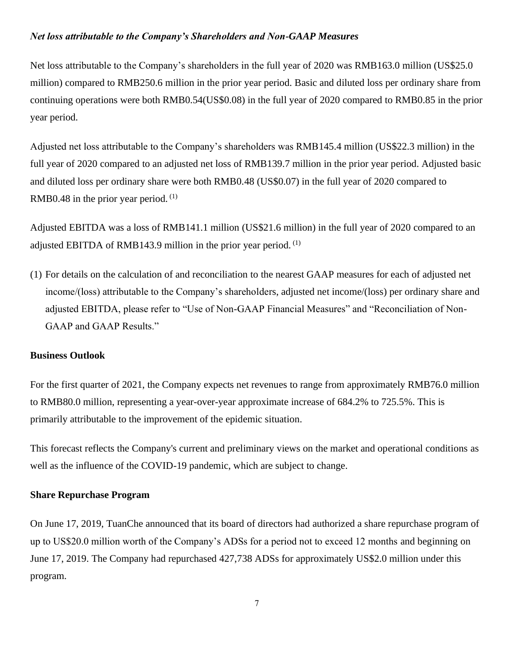## *Net loss attributable to the Company's Shareholders and Non-GAAP Measures*

Net loss attributable to the Company's shareholders in the full year of 2020 was RMB163.0 million (US\$25.0 million) compared to RMB250.6 million in the prior year period. Basic and diluted loss per ordinary share from continuing operations were both RMB0.54(US\$0.08) in the full year of 2020 compared to RMB0.85 in the prior year period.

Adjusted net loss attributable to the Company's shareholders was RMB145.4 million (US\$22.3 million) in the full year of 2020 compared to an adjusted net loss of RMB139.7 million in the prior year period. Adjusted basic and diluted loss per ordinary share were both RMB0.48 (US\$0.07) in the full year of 2020 compared to RMB0.48 in the prior year period. (1)

Adjusted EBITDA was a loss of RMB141.1 million (US\$21.6 million) in the full year of 2020 compared to an adjusted EBITDA of RMB143.9 million in the prior year period. (1)

(1) For details on the calculation of and reconciliation to the nearest GAAP measures for each of adjusted net income/(loss) attributable to the Company's shareholders, adjusted net income/(loss) per ordinary share and adjusted EBITDA, please refer to "Use of Non-GAAP Financial Measures" and "Reconciliation of Non-GAAP and GAAP Results."

### **Business Outlook**

For the first quarter of 2021, the Company expects net revenues to range from approximately RMB76.0 million to RMB80.0 million, representing a year-over-year approximate increase of 684.2% to 725.5%. This is primarily attributable to the improvement of the epidemic situation.

This forecast reflects the Company's current and preliminary views on the market and operational conditions as well as the influence of the COVID-19 pandemic, which are subject to change.

#### **Share Repurchase Program**

On June 17, 2019, TuanChe announced that its board of directors had authorized a share repurchase program of up to US\$20.0 million worth of the Company's ADSs for a period not to exceed 12 months and beginning on June 17, 2019. The Company had repurchased 427,738 ADSs for approximately US\$2.0 million under this program.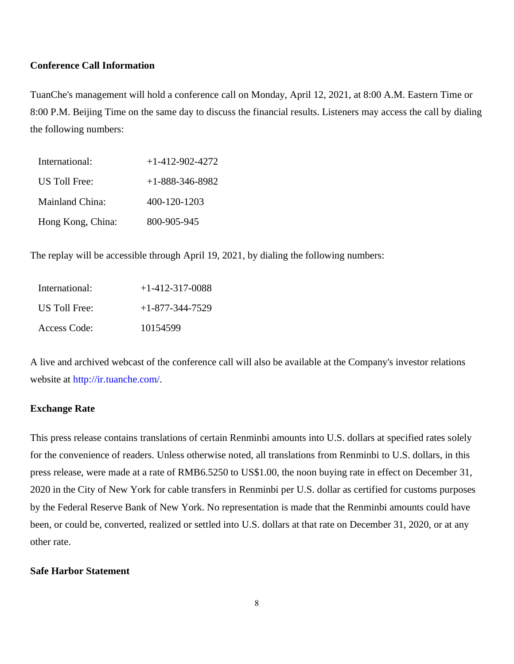## **Conference Call Information**

TuanChe's management will hold a conference call on Monday, April 12, 2021, at 8:00 A.M. Eastern Time or 8:00 P.M. Beijing Time on the same day to discuss the financial results. Listeners may access the call by dialing the following numbers:

| International:         | $+1 - 412 - 902 - 4272$ |
|------------------------|-------------------------|
| US Toll Free:          | $+1-888-346-8982$       |
| <b>Mainland China:</b> | 400-120-1203            |
| Hong Kong, China:      | 800-905-945             |

The replay will be accessible through April 19, 2021, by dialing the following numbers:

| International: | $+1-412-317-0088$       |
|----------------|-------------------------|
| US Toll Free:  | $+1 - 877 - 344 - 7529$ |
| Access Code:   | 10154599                |

A live and archived webcast of the conference call will also be available at the Company's investor relations website at http://ir.tuanche.com/.

#### **Exchange Rate**

This press release contains translations of certain Renminbi amounts into U.S. dollars at specified rates solely for the convenience of readers. Unless otherwise noted, all translations from Renminbi to U.S. dollars, in this press release, were made at a rate of RMB6.5250 to US\$1.00, the noon buying rate in effect on December 31, 2020 in the City of New York for cable transfers in Renminbi per U.S. dollar as certified for customs purposes by the Federal Reserve Bank of New York. No representation is made that the Renminbi amounts could have been, or could be, converted, realized or settled into U.S. dollars at that rate on December 31, 2020, or at any other rate.

## **Safe Harbor Statement**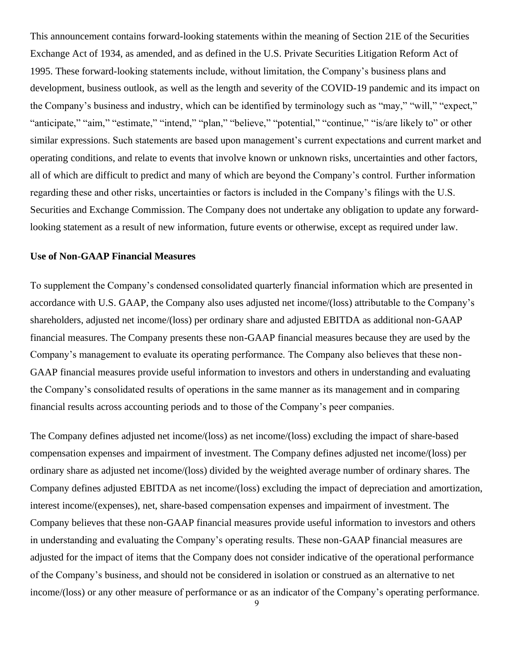This announcement contains forward-looking statements within the meaning of Section 21E of the Securities Exchange Act of 1934, as amended, and as defined in the U.S. Private Securities Litigation Reform Act of 1995. These forward-looking statements include, without limitation, the Company's business plans and development, business outlook, as well as the length and severity of the COVID-19 pandemic and its impact on the Company's business and industry, which can be identified by terminology such as "may," "will," "expect," "anticipate," "aim," "estimate," "intend," "plan," "believe," "potential," "continue," "is/are likely to" or other similar expressions. Such statements are based upon management's current expectations and current market and operating conditions, and relate to events that involve known or unknown risks, uncertainties and other factors, all of which are difficult to predict and many of which are beyond the Company's control. Further information regarding these and other risks, uncertainties or factors is included in the Company's filings with the U.S. Securities and Exchange Commission. The Company does not undertake any obligation to update any forwardlooking statement as a result of new information, future events or otherwise, except as required under law.

## **Use of Non-GAAP Financial Measures**

To supplement the Company's condensed consolidated quarterly financial information which are presented in accordance with U.S. GAAP, the Company also uses adjusted net income/(loss) attributable to the Company's shareholders, adjusted net income/(loss) per ordinary share and adjusted EBITDA as additional non-GAAP financial measures. The Company presents these non-GAAP financial measures because they are used by the Company's management to evaluate its operating performance. The Company also believes that these non-GAAP financial measures provide useful information to investors and others in understanding and evaluating the Company's consolidated results of operations in the same manner as its management and in comparing financial results across accounting periods and to those of the Company's peer companies.

The Company defines adjusted net income/(loss) as net income/(loss) excluding the impact of share-based compensation expenses and impairment of investment. The Company defines adjusted net income/(loss) per ordinary share as adjusted net income/(loss) divided by the weighted average number of ordinary shares. The Company defines adjusted EBITDA as net income/(loss) excluding the impact of depreciation and amortization, interest income/(expenses), net, share-based compensation expenses and impairment of investment. The Company believes that these non-GAAP financial measures provide useful information to investors and others in understanding and evaluating the Company's operating results. These non-GAAP financial measures are adjusted for the impact of items that the Company does not consider indicative of the operational performance of the Company's business, and should not be considered in isolation or construed as an alternative to net income/(loss) or any other measure of performance or as an indicator of the Company's operating performance.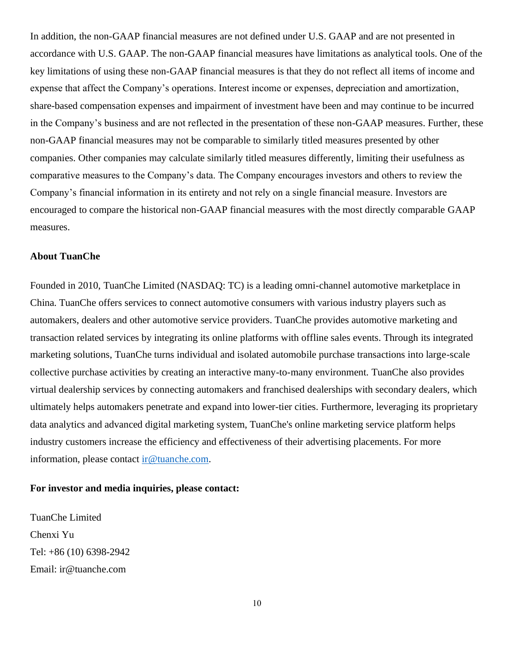In addition, the non-GAAP financial measures are not defined under U.S. GAAP and are not presented in accordance with U.S. GAAP. The non-GAAP financial measures have limitations as analytical tools. One of the key limitations of using these non-GAAP financial measures is that they do not reflect all items of income and expense that affect the Company's operations. Interest income or expenses, depreciation and amortization, share-based compensation expenses and impairment of investment have been and may continue to be incurred in the Company's business and are not reflected in the presentation of these non-GAAP measures. Further, these non-GAAP financial measures may not be comparable to similarly titled measures presented by other companies. Other companies may calculate similarly titled measures differently, limiting their usefulness as comparative measures to the Company's data. The Company encourages investors and others to review the Company's financial information in its entirety and not rely on a single financial measure. Investors are encouraged to compare the historical non-GAAP financial measures with the most directly comparable GAAP measures.

#### **About TuanChe**

Founded in 2010, TuanChe Limited (NASDAQ: TC) is a leading omni-channel automotive marketplace in China. TuanChe offers services to connect automotive consumers with various industry players such as automakers, dealers and other automotive service providers. TuanChe provides automotive marketing and transaction related services by integrating its online platforms with offline sales events. Through its integrated marketing solutions, TuanChe turns individual and isolated automobile purchase transactions into large-scale collective purchase activities by creating an interactive many-to-many environment. TuanChe also provides virtual dealership services by connecting automakers and franchised dealerships with secondary dealers, which ultimately helps automakers penetrate and expand into lower-tier cities. Furthermore, leveraging its proprietary data analytics and advanced digital marketing system, TuanChe's online marketing service platform helps industry customers increase the efficiency and effectiveness of their advertising placements. For more information, please contact ir @tuanche.com.

### **For investor and media inquiries, please contact:**

TuanChe Limited Chenxi Yu Tel: +86 (10) 6398-2942 Email: [ir@tuanche.com](mailto:ir@tuanche.com)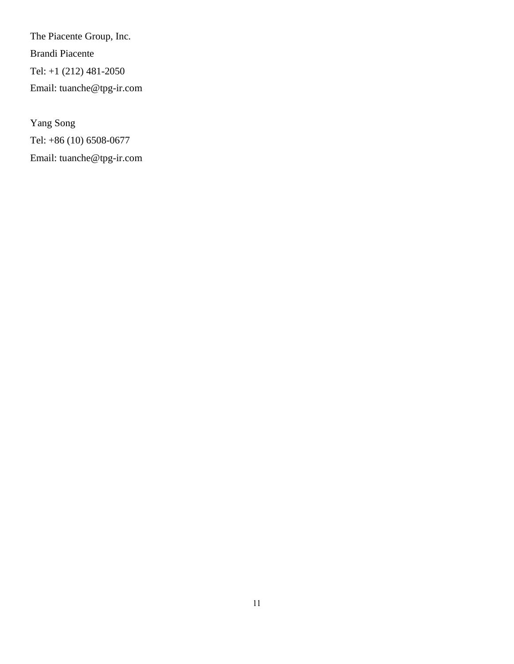The Piacente Group, Inc. Brandi Piacente Tel: +1 (212) 481-2050 Email: tuanche@tpg-ir.com

Yang Song Tel: +86 (10) 6508-0677 Email: [tuanche@tpg-ir.com](mailto:tuanche@tpg-ir.com)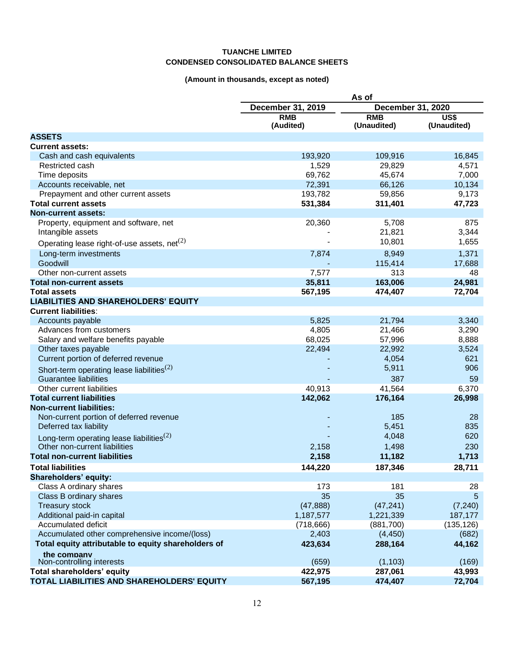#### **TUANCHE LIMITED CONDENSED CONSOLIDATED BALANCE SHEETS**

# **(Amount in thousands, except as noted)**

|                                                                    | As of                                  |                           |                     |
|--------------------------------------------------------------------|----------------------------------------|---------------------------|---------------------|
|                                                                    | December 31, 2019<br>December 31, 2020 |                           |                     |
|                                                                    | <b>RMB</b><br>(Audited)                | <b>RMB</b><br>(Unaudited) | US\$<br>(Unaudited) |
| <b>ASSETS</b>                                                      |                                        |                           |                     |
| <b>Current assets:</b>                                             |                                        |                           |                     |
| Cash and cash equivalents                                          | 193,920                                | 109,916                   | 16,845              |
| Restricted cash                                                    | 1,529                                  | 29,829                    | 4,571               |
| Time deposits                                                      | 69,762                                 | 45,674                    | 7,000               |
| Accounts receivable, net                                           | 72,391                                 | 66,126                    | 10,134              |
| Prepayment and other current assets                                | 193,782                                | 59,856                    | 9,173               |
| <b>Total current assets</b>                                        | 531,384                                | 311,401                   | 47,723              |
| <b>Non-current assets:</b>                                         |                                        |                           |                     |
| Property, equipment and software, net                              | 20,360                                 | 5,708                     | 875                 |
| Intangible assets                                                  |                                        | 21,821                    | 3,344               |
| Operating lease right-of-use assets, net <sup>(2)</sup>            |                                        | 10,801                    | 1,655               |
| Long-term investments                                              | 7,874                                  | 8,949                     | 1,371               |
| Goodwill                                                           |                                        | 115,414                   | 17,688              |
| Other non-current assets                                           | 7,577                                  | 313                       | 48                  |
| <b>Total non-current assets</b>                                    | 35,811                                 | 163,006                   | 24,981              |
| <b>Total assets</b>                                                | 567,195                                | 474,407                   | 72,704              |
| <b>LIABILITIES AND SHAREHOLDERS' EQUITY</b>                        |                                        |                           |                     |
| <b>Current liabilities:</b>                                        |                                        |                           |                     |
| Accounts payable                                                   | 5,825                                  | 21,794                    | 3,340               |
| Advances from customers                                            | 4,805                                  | 21,466                    | 3,290               |
| Salary and welfare benefits payable                                | 68,025                                 | 57,996                    | 8,888               |
| Other taxes payable                                                | 22,494                                 | 22,992                    | 3,524               |
| Current portion of deferred revenue                                |                                        | 4,054                     | 621                 |
| Short-term operating lease liabilities <sup><math>(2)</math></sup> |                                        | 5,911                     | 906                 |
| <b>Guarantee liabilities</b>                                       |                                        | 387                       | 59                  |
| Other current liabilities                                          | 40,913                                 | 41,564                    | 6,370               |
| <b>Total current liabilities</b>                                   | 142,062                                | 176,164                   | 26,998              |
| <b>Non-current liabilities:</b>                                    |                                        |                           |                     |
| Non-current portion of deferred revenue                            |                                        | 185                       | 28                  |
| Deferred tax liability                                             |                                        | 5,451                     | 835                 |
| Long-term operating lease liabilities <sup>(2)</sup>               |                                        | 4,048                     | 620                 |
| Other non-current liabilities                                      | 2,158                                  | 1,498                     | 230                 |
| <b>Total non-current liabilities</b>                               | 2,158                                  | 11,182                    | 1,713               |
| <b>Total liabilities</b>                                           | 144,220                                | 187,346                   | 28,711              |
| Shareholders' equity:                                              |                                        |                           |                     |
| Class A ordinary shares                                            | 173                                    | 181                       | 28                  |
| Class B ordinary shares                                            | 35                                     | 35                        | 5                   |
| <b>Treasury stock</b>                                              | (47, 888)                              | (47, 241)                 | (7, 240)            |
| Additional paid-in capital                                         | 1,187,577                              | 1,221,339                 | 187,177             |
| Accumulated deficit                                                | (718, 666)                             | (881,700)                 | (135, 126)          |
| Accumulated other comprehensive income/(loss)                      | 2,403                                  | (4, 450)                  | (682)               |
| Total equity attributable to equity shareholders of                | 423,634                                | 288,164                   | 44,162              |
| the company                                                        |                                        |                           |                     |
| Non-controlling interests                                          | (659)                                  | (1, 103)                  | (169)               |
| Total shareholders' equity                                         | 422,975                                | 287,061                   | 43,993              |
| TOTAL LIABILITIES AND SHAREHOLDERS' EQUITY                         | 567,195                                | 474,407                   | 72,704              |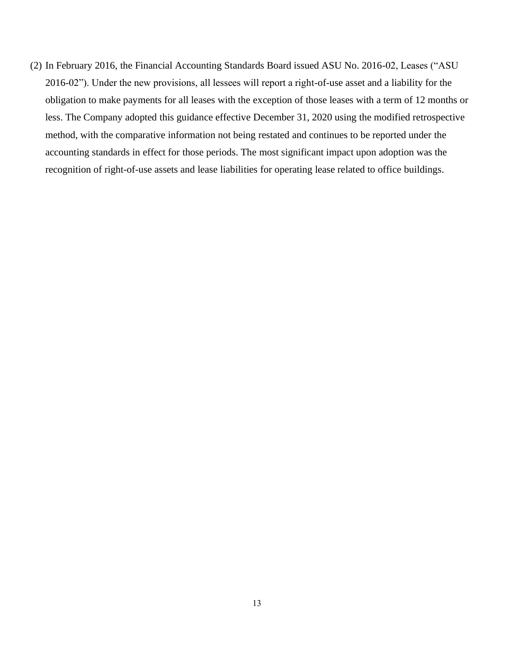(2) In February 2016, the Financial Accounting Standards Board issued ASU No. 2016-02, Leases ("ASU 2016-02"). Under the new provisions, all lessees will report a right-of-use asset and a liability for the obligation to make payments for all leases with the exception of those leases with a term of 12 months or less. The Company adopted this guidance effective December 31, 2020 using the modified retrospective method, with the comparative information not being restated and continues to be reported under the accounting standards in effect for those periods. The most significant impact upon adoption was the recognition of right-of-use assets and lease liabilities for operating lease related to office buildings.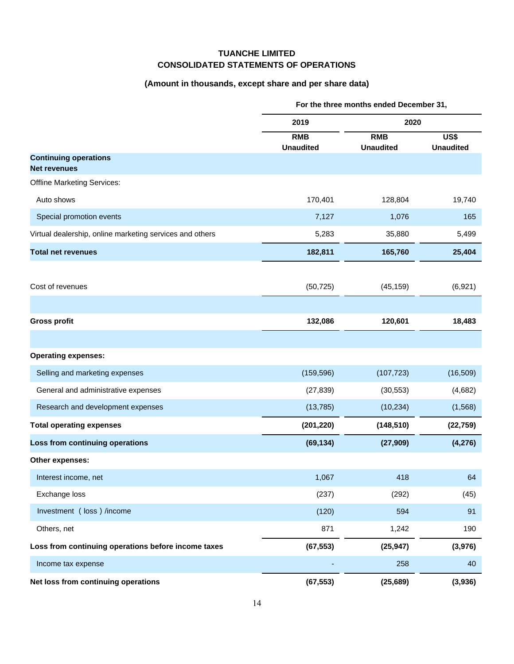# **TUANCHE LIMITED CONSOLIDATED STATEMENTS OF OPERATIONS**

|                                                          | For the three months ended December 31, |                                |                                      |
|----------------------------------------------------------|-----------------------------------------|--------------------------------|--------------------------------------|
|                                                          | 2019                                    | 2020                           |                                      |
|                                                          | <b>RMB</b><br><b>Unaudited</b>          | <b>RMB</b><br><b>Unaudited</b> | $\overline{USS}$<br><b>Unaudited</b> |
| <b>Continuing operations</b><br><b>Net revenues</b>      |                                         |                                |                                      |
| <b>Offline Marketing Services:</b>                       |                                         |                                |                                      |
| Auto shows                                               | 170,401                                 | 128,804                        | 19,740                               |
| Special promotion events                                 | 7,127                                   | 1,076                          | 165                                  |
| Virtual dealership, online marketing services and others | 5,283                                   | 35,880                         | 5,499                                |
| <b>Total net revenues</b>                                | 182,811                                 | 165,760                        | 25,404                               |
|                                                          |                                         |                                |                                      |
| Cost of revenues                                         | (50, 725)                               | (45, 159)                      | (6,921)                              |
|                                                          |                                         |                                |                                      |
| <b>Gross profit</b>                                      | 132,086                                 | 120,601                        | 18,483                               |
|                                                          |                                         |                                |                                      |
| <b>Operating expenses:</b>                               |                                         |                                |                                      |
| Selling and marketing expenses                           | (159, 596)                              | (107, 723)                     | (16, 509)                            |
| General and administrative expenses                      | (27, 839)                               | (30, 553)                      | (4,682)                              |
| Research and development expenses                        | (13, 785)                               | (10, 234)                      | (1, 568)                             |
| <b>Total operating expenses</b>                          | (201, 220)                              | (148, 510)                     | (22, 759)                            |
| Loss from continuing operations                          | (69, 134)                               | (27, 909)                      | (4,276)                              |
| Other expenses:                                          |                                         |                                |                                      |
| Interest income, net                                     | 1,067                                   | 418                            | 64                                   |
| Exchange loss                                            | (237)                                   | (292)                          | (45)                                 |
| Investment (loss) /income                                | (120)                                   | 594                            | 91                                   |
| Others, net                                              | 871                                     | 1,242                          | 190                                  |
| Loss from continuing operations before income taxes      | (67, 553)                               | (25, 947)                      | (3,976)                              |
| Income tax expense                                       |                                         | 258                            | 40                                   |
| Net loss from continuing operations                      | (67, 553)                               | (25, 689)                      | (3,936)                              |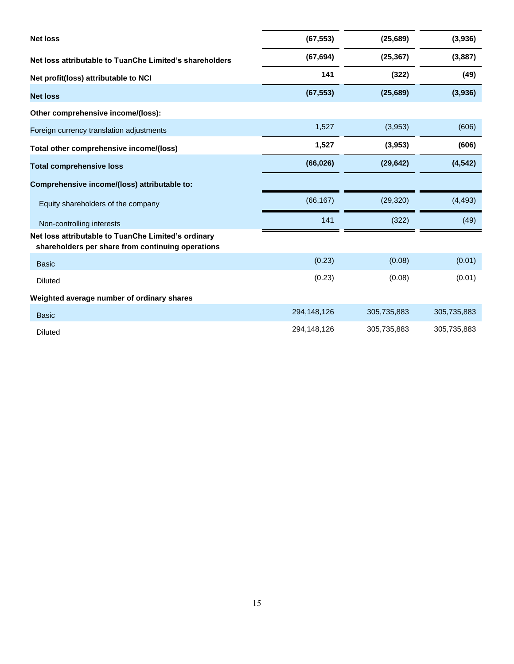| <b>Net loss</b>                                                                                          | (67, 553)   | (25, 689)   | (3,936)     |
|----------------------------------------------------------------------------------------------------------|-------------|-------------|-------------|
| Net loss attributable to TuanChe Limited's shareholders                                                  | (67, 694)   | (25, 367)   | (3,887)     |
| Net profit(loss) attributable to NCI                                                                     | 141         | (322)       | (49)        |
| <b>Net loss</b>                                                                                          | (67, 553)   | (25, 689)   | (3,936)     |
| Other comprehensive income/(loss):                                                                       |             |             |             |
| Foreign currency translation adjustments                                                                 | 1,527       | (3,953)     | (606)       |
| Total other comprehensive income/(loss)                                                                  | 1,527       | (3,953)     | (606)       |
| <b>Total comprehensive loss</b>                                                                          | (66, 026)   | (29, 642)   | (4, 542)    |
| Comprehensive income/(loss) attributable to:                                                             |             |             |             |
| Equity shareholders of the company                                                                       | (66, 167)   | (29, 320)   | (4, 493)    |
| Non-controlling interests                                                                                | 141         | (322)       | (49)        |
| Net loss attributable to TuanChe Limited's ordinary<br>shareholders per share from continuing operations |             |             |             |
| <b>Basic</b>                                                                                             | (0.23)      | (0.08)      | (0.01)      |
| <b>Diluted</b>                                                                                           | (0.23)      | (0.08)      | (0.01)      |
| Weighted average number of ordinary shares                                                               |             |             |             |
| <b>Basic</b>                                                                                             | 294,148,126 | 305,735,883 | 305,735,883 |
| <b>Diluted</b>                                                                                           | 294,148,126 | 305,735,883 | 305,735,883 |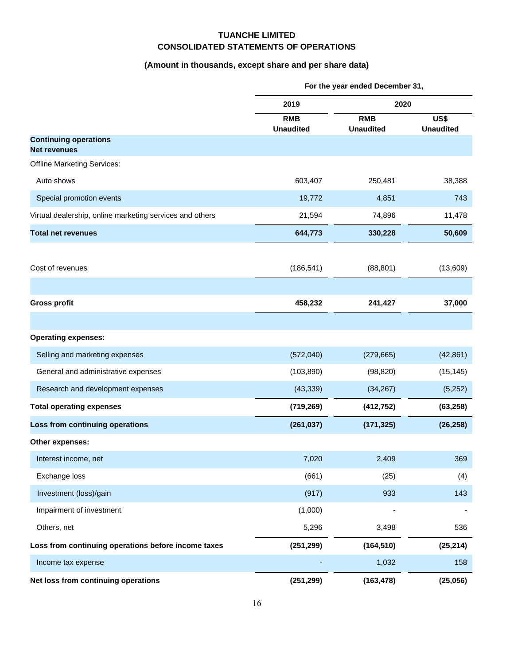# **TUANCHE LIMITED CONSOLIDATED STATEMENTS OF OPERATIONS**

|                                                          | For the year ended December 31, |                                |                          |
|----------------------------------------------------------|---------------------------------|--------------------------------|--------------------------|
|                                                          | 2019                            | 2020                           |                          |
|                                                          | <b>RMB</b><br><b>Unaudited</b>  | <b>RMB</b><br><b>Unaudited</b> | US\$<br><b>Unaudited</b> |
| <b>Continuing operations</b><br><b>Net revenues</b>      |                                 |                                |                          |
| <b>Offline Marketing Services:</b>                       |                                 |                                |                          |
| Auto shows                                               | 603,407                         | 250,481                        | 38,388                   |
| Special promotion events                                 | 19,772                          | 4,851                          | 743                      |
| Virtual dealership, online marketing services and others | 21,594                          | 74,896                         | 11,478                   |
| <b>Total net revenues</b>                                | 644,773                         | 330,228                        | 50,609                   |
| Cost of revenues                                         | (186, 541)                      | (88, 801)                      | (13,609)                 |
|                                                          |                                 |                                |                          |
| <b>Gross profit</b>                                      | 458,232                         | 241,427                        | 37,000                   |
|                                                          |                                 |                                |                          |
| <b>Operating expenses:</b>                               |                                 |                                |                          |
| Selling and marketing expenses                           | (572,040)                       | (279, 665)                     | (42, 861)                |
| General and administrative expenses                      | (103, 890)                      | (98, 820)                      | (15, 145)                |
| Research and development expenses                        | (43, 339)                       | (34, 267)                      | (5,252)                  |
| <b>Total operating expenses</b>                          | (719, 269)                      | (412, 752)                     | (63, 258)                |
| Loss from continuing operations                          | (261, 037)                      | (171, 325)                     | (26, 258)                |
| Other expenses:                                          |                                 |                                |                          |
| Interest income, net                                     | 7,020                           | 2,409                          | 369                      |
| Exchange loss                                            | (661)                           | (25)                           | (4)                      |
| Investment (loss)/gain                                   | (917)                           | 933                            | 143                      |
| Impairment of investment                                 | (1,000)                         |                                |                          |
| Others, net                                              | 5,296                           | 3,498                          | 536                      |
| Loss from continuing operations before income taxes      | (251, 299)                      | (164, 510)                     | (25, 214)                |
| Income tax expense                                       |                                 | 1,032                          | 158                      |
| Net loss from continuing operations                      | (251, 299)                      | (163, 478)                     | (25, 056)                |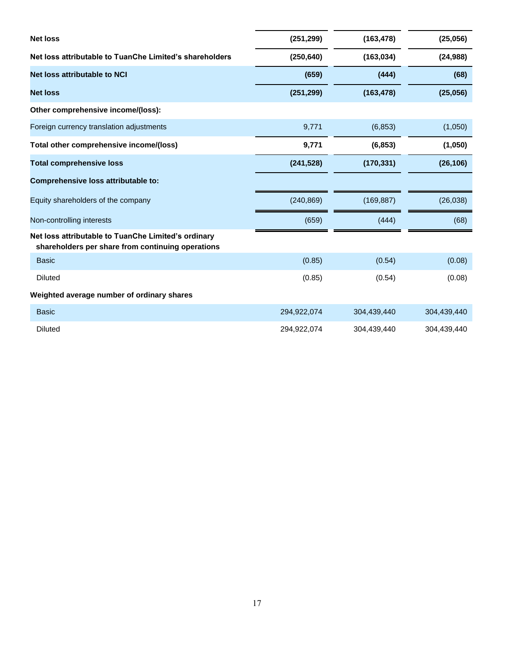| <b>Net loss</b>                                                                                          | (251, 299)  | (163, 478)  | (25,056)    |
|----------------------------------------------------------------------------------------------------------|-------------|-------------|-------------|
| Net loss attributable to TuanChe Limited's shareholders                                                  | (250, 640)  | (163, 034)  | (24, 988)   |
| <b>Net loss attributable to NCI</b>                                                                      | (659)       | (444)       | (68)        |
| <b>Net loss</b>                                                                                          | (251, 299)  | (163, 478)  | (25,056)    |
| Other comprehensive income/(loss):                                                                       |             |             |             |
| Foreign currency translation adjustments                                                                 | 9,771       | (6, 853)    | (1,050)     |
| Total other comprehensive income/(loss)                                                                  | 9,771       | (6, 853)    | (1,050)     |
| <b>Total comprehensive loss</b>                                                                          | (241, 528)  | (170, 331)  | (26, 106)   |
| Comprehensive loss attributable to:                                                                      |             |             |             |
| Equity shareholders of the company                                                                       | (240, 869)  | (169, 887)  | (26, 038)   |
| Non-controlling interests                                                                                | (659)       | (444)       | (68)        |
| Net loss attributable to TuanChe Limited's ordinary<br>shareholders per share from continuing operations |             |             |             |
| <b>Basic</b>                                                                                             | (0.85)      | (0.54)      | (0.08)      |
| <b>Diluted</b>                                                                                           | (0.85)      | (0.54)      | (0.08)      |
| Weighted average number of ordinary shares                                                               |             |             |             |
| <b>Basic</b>                                                                                             | 294,922,074 | 304,439,440 | 304,439,440 |
| <b>Diluted</b>                                                                                           | 294,922,074 | 304,439,440 | 304.439.440 |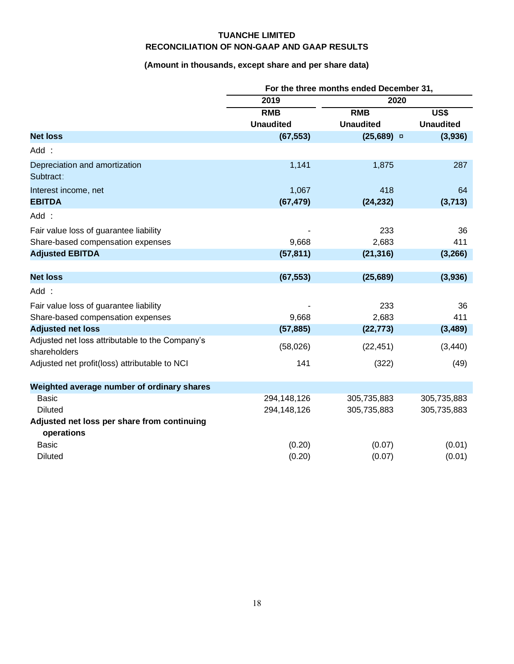# **TUANCHE LIMITED RECONCILIATION OF NON-GAAP AND GAAP RESULTS**

|                                                                 | For the three months ended December 31, |                     |                  |
|-----------------------------------------------------------------|-----------------------------------------|---------------------|------------------|
|                                                                 | 2019                                    | 2020                |                  |
|                                                                 | <b>RMB</b>                              | <b>RMB</b>          | $\overline{USS}$ |
|                                                                 | <b>Unaudited</b>                        | <b>Unaudited</b>    | <b>Unaudited</b> |
| <b>Net loss</b>                                                 | (67, 553)                               | $(25,689)$ $\alpha$ | (3,936)          |
| Add:                                                            |                                         |                     |                  |
| Depreciation and amortization<br>Subtract:                      | 1,141                                   | 1,875               | 287              |
| Interest income, net                                            | 1,067                                   | 418                 | 64               |
| <b>EBITDA</b>                                                   | (67, 479)                               | (24, 232)           | (3,713)          |
| Add:                                                            |                                         |                     |                  |
| Fair value loss of guarantee liability                          |                                         | 233                 | 36               |
| Share-based compensation expenses                               | 9,668                                   | 2,683               | 411              |
| <b>Adjusted EBITDA</b>                                          | (57, 811)                               | (21, 316)           | (3, 266)         |
|                                                                 |                                         |                     |                  |
| <b>Net loss</b>                                                 | (67, 553)                               | (25, 689)           | (3,936)          |
| Add:                                                            |                                         |                     |                  |
| Fair value loss of guarantee liability                          |                                         | 233                 | 36               |
| Share-based compensation expenses                               | 9,668                                   | 2,683               | 411              |
| <b>Adjusted net loss</b>                                        | (57, 885)                               | (22, 773)           | (3, 489)         |
| Adjusted net loss attributable to the Company's<br>shareholders | (58,026)                                | (22, 451)           | (3, 440)         |
| Adjusted net profit(loss) attributable to NCI                   | 141                                     | (322)               | (49)             |
| Weighted average number of ordinary shares                      |                                         |                     |                  |
| <b>Basic</b>                                                    | 294,148,126                             | 305,735,883         | 305,735,883      |
| <b>Diluted</b>                                                  | 294,148,126                             | 305,735,883         | 305,735,883      |
| Adjusted net loss per share from continuing<br>operations       |                                         |                     |                  |
| <b>Basic</b>                                                    | (0.20)                                  | (0.07)              | (0.01)           |
| <b>Diluted</b>                                                  | (0.20)                                  | (0.07)              | (0.01)           |
|                                                                 |                                         |                     |                  |